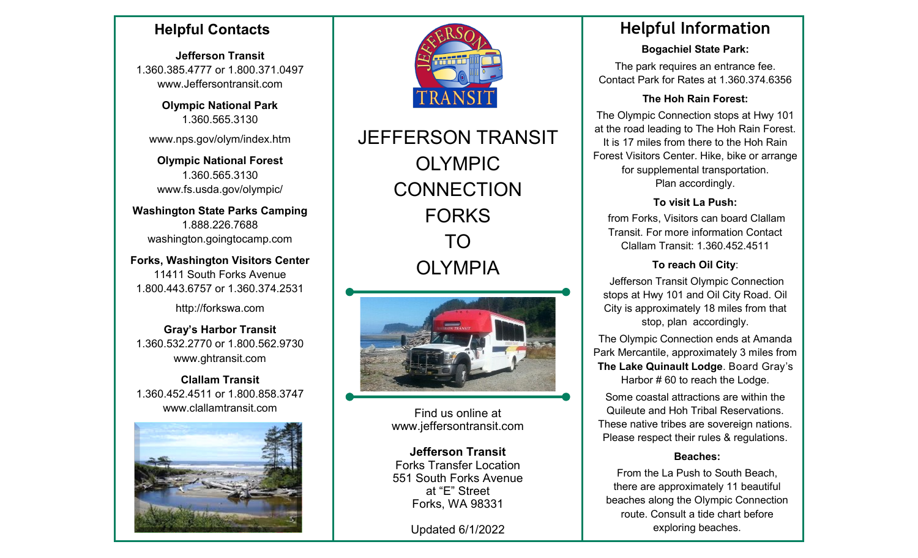## **Helpful Contacts**

**Jefferson Transit** 1.360.385.4777 or 1.800.371.0497 www.Jeffersontransit.com

> **Olympic National Park** 1.360.565.3130

www.nps.gov/olym/index.htm

**Olympic National Forest** 1.360.565.3130 [www.fs.usda.gov/olympic/](http://www.fs.usda.gov/olympic/) 

**Washington State Parks Camping** 1.888.226.7688 [washington.goingtocamp.com](https://washington.goingtocamp.com/)

**Forks, Washington Visitors Center** 11411 South Forks Avenue 1.800.443.6757 or 1.360.374.2531

http://forkswa.com

**Gray's Harbor Transit** 1.360.532.2770 or 1.800.562.9730 [www.ghtransit.com](http://www.ghtransit.com)

**Clallam Transit** 1.360.452.4511 or 1.800.858.3747 [www.clallamtransit.com](http://www.clallamtransit.com)





JEFFERSON TRANSIT OLYMPIC **CONNECTION** FORKS TO OLYMPIA



Find us online at www.jeffersontransit.com

**Jefferson Transit**  Forks Transfer Location 551 South Forks Avenue at "E" Street Forks, WA 98331

Updated 6/1/2022

# **Helpful Information**

**Bogachiel State Park:** 

The park requires an entrance fee. Contact Park for Rates at 1.360.374.6356

### **The Hoh Rain Forest:**

The Olympic Connection stops at Hwy 101 at the road leading to The Hoh Rain Forest. It is 17 miles from there to the Hoh Rain Forest Visitors Center. Hike, bike or arrange for supplemental transportation. Plan accordingly.

## **To visit La Push:**

from Forks, Visitors can board Clallam Transit. For more information Contact Clallam Transit: 1.360.452.4511

## **To reach Oil City**:

Jefferson Transit Olympic Connection stops at Hwy 101 and Oil City Road. Oil City is approximately 18 miles from that stop, plan accordingly.

The Olympic Connection ends at Amanda Park Mercantile, approximately 3 miles from **The Lake Quinault Lodge**. Board Gray's Harbor # 60 to reach the Lodge.

Some coastal attractions are within the Quileute and Hoh Tribal Reservations. These native tribes are sovereign nations. Please respect their rules & regulations.

## **Beaches:**

From the La Push to South Beach, there are approximately 11 beautiful beaches along the Olympic Connection route. Consult a tide chart before exploring beaches.